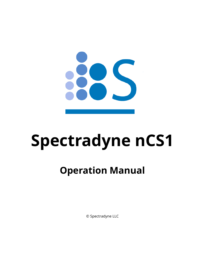

# **Spectradyne nCS1**

# **Operation Manual**

© Spectradyne LLC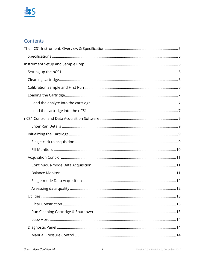### Contents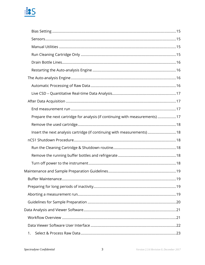| Prepare the next cartridge for analysis (if continuing with measurements) 17 |  |
|------------------------------------------------------------------------------|--|
|                                                                              |  |
| Insert the next analysis cartridge (if continuing with measurements)18       |  |
|                                                                              |  |
|                                                                              |  |
|                                                                              |  |
|                                                                              |  |
|                                                                              |  |
|                                                                              |  |
|                                                                              |  |
|                                                                              |  |
|                                                                              |  |
|                                                                              |  |
|                                                                              |  |
|                                                                              |  |
| 1.                                                                           |  |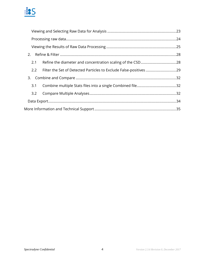

| 2.                                                                        |  |
|---------------------------------------------------------------------------|--|
| 2.1                                                                       |  |
| Filter the Set of Detected Particles to Exclude False-positives 29<br>2.2 |  |
|                                                                           |  |
| 3.1                                                                       |  |
| 3.2                                                                       |  |
|                                                                           |  |
|                                                                           |  |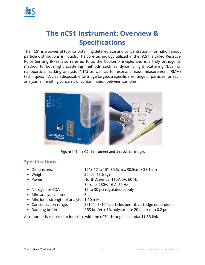

### **The nCS1 Instrument: Overview & Specifications**

The nCS1 is a powerful tool for obtaining detailed size and concentration information about particle distributions in liquids. The core technology utilized in the nCS1 is called Resistive Pulse Sensing (RPS), also referred to as the Coulter Principle, and is a truly orthogonal method to both light scattering methods such as dynamic light scattering (DLS) or nanoparticle tracking analysis (NTA) as well as to resonant mass measurement (RMM) techniques. A clean disposable cartridge targets a specific size range of particles for each analysis, eliminating concerns of contamination between samples.



**Figure 1.** The nCS1 instrument and analysis cartridges.

### **Specifications**

- Dimensions: 12" x 12" x 15" (30.5cm x 30.5cm x 38.1cm)
- Weight: 30 lbs (13.6 kg)
- Power: North America: 110V, 5A, 60 Hz;
- 

• Nitrogen or CDA: 15 to 30 psi regulated supply

Europe: 230V, 16 A, 50 Hz

- Min. analyte volume: 3 μl Min. ionic strength of analyte: 1-10 mM
- Concentration range:  $5x10^5 5x10^{11}$  particles per ml, cartridge dependent
	-
- Running buffer: PBS buffer + 1% polysorbate 20 filtered to 0.2 µm

A computer is required to interface with the nCS1 through a standard USB link.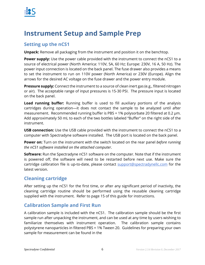

### **Instrument Setup and Sample Prep**

### **Setting up the nCS1**

**Unpack:** Remove all packaging from the instrument and position it on the benchtop.

**Power supply:** Use the power cable provided with the instrument to connect the nCS1 to a source of electrical power (North America: 110V, 5A, 60 Hz; Europe: 230V, 16 A, 50 Hz). The power input connection is located on the back panel. The fuse drawer also provides a means to set the instrument to run on 110V power (North America) or 230V (Europe). Align the arrows for the desired AC voltage on the fuse drawer and the power entry module.

**Pressure supply:** Connect the instrument to a source of clean inert gas (e.g., filtered nitrogen or air). The acceptable range of input pressures is 15-30 PSI. The pressure input is located on the back panel.

**Load running buffer:** Running buffer is used to fill auxiliary portions of the analysis cartridges during operation—it does not contact the sample to be analyzed until after measurement. Recommended running buffer is PBS + 1% polysorbate 20 filtered at 0.2 μm. Add approximately 50 mL to each of the two bottles labeled "Buffer" on the right side of the instrument.

**USB connection:** Use the USB cable provided with the instrument to connect the nCS1 to a computer with Spectradyne software installed. The USB port is located on the back panel.

**Power on:** Turn on the instrument with the switch located on the rear panel *before running the nCS1 software installed on the attached computer*.

**Software:** Run the Spectradyne nCS1 software on the computer. Note that if the instrument is powered off, the software will need to be restarted before next use. Make sure the cartridge calibration file is up-to-date, please contact support@spectradynellc.com for the latest version.

### **Cleaning cartridge**

After setting up the nCS1 for the first time, or after any significant period of inactivity, the cleaning cartridge routine should be performed using the reusable cleaning cartridge supplied with the instrument. Refer to page 15 of this guide for instructions.

### **Calibration Sample and First Run**

A calibration sample is included with the nCS1. The calibration sample should be the first sample run after unpacking the instrument, and can be used at any time by users wishing to familiarize themselves with instrument operation. The calibration sample contains polystyrene nanoparticles in filtered PBS + 1% Tween 20. Guidelines for preparing your own sample for measurement can be found in the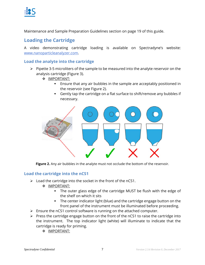

Maintenance and Sample Preparation Guidelines section on page 19 of this guide.

### **Loading the Cartridge**

A video demonstrating cartridge loading is available on Spectradyne's website: www.nanoparticleanalyzer.com.

### **Load the analyte into the cartridge**

- $\triangleright$  Pipette 3-5 microliters of the sample to be measured into the analyte reservoir on the analysis cartridge (Figure 3).
	- IMPORTANT:
		- Ensure that any air bubbles in the sample are acceptably positioned in the reservoir (see Figure 2).
		- Gently tap the cartridge on a flat surface to shift/remove any bubbles if necessary.



**Figure 2.** Any air bubbles in the analyte must not occlude the bottom of the reservoir.

### **Load the cartridge into the nCS1**

- $\triangleright$  Load the cartridge into the socket in the front of the nCS1.
	- $\div$  IMPORTANT:
		- The outer glass edge of the cartridge MUST be flush with the edge of the shelf on which it sits
		- The center indicator light (blue) and the cartridge engage button on the front panel of the instrument must be illuminated before proceeding.
- $\triangleright$  Ensure the nCS1 control software is running on the attached computer.
- $\triangleright$  Press the cartridge engage button on the front of the nCS1 to raise the cartridge into the instrument. The top indicator light (white) will illuminate to indicate that the cartridge is ready for priming.
	- IMPORTANT: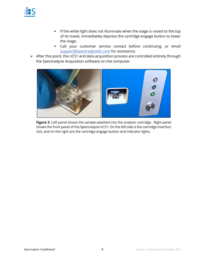- **If the white light does not illuminate when the stage is raised to the top** of its travel, immediately depress the cartridge engage button to lower the stage.
- Call your customer service contact before continuing, or email support@spectradynellc.com for assistance.
- After this point, the nCS1 and data acquisition process are controlled entirely through the Spectradyne Acquisition software on the computer.



**Figure 3.** Left panel shows the sample pipetted into the analysis cartridge. Right panel shows the front panel of the Spectradyne nCS1: On the left side is the cartridge insertion slot, and on the right are the cartridge engage button and indicator lights.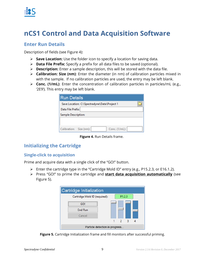

### **nCS1 Control and Data Acquisition Software**

### **Enter Run Details**

Description of fields (see Figure 4):

- **Save Location:** Use the folder icon to specify a location for saving data.
- **Data File Prefix:** Specify a prefix for all data files to be saved (optional).
- **Description:** Enter a sample description, this will be stored with the data file.
- **Calibration: Size (nm)**: Enter the diameter (in nm) of calibration particles mixed in with the sample. If no calibration particles are used, the entry may be left blank.
- **Conc. (1/mL)**: Enter the concentration of calibration particles in particles/mL (e.g., '2E9'). This entry may be left blank.

| <b>Run Details</b>                           |  |
|----------------------------------------------|--|
| Save Location: C:\Spectradyne\Data\Project 1 |  |
| Data File Prefix:                            |  |
| <b>Sample Description:</b>                   |  |
|                                              |  |
| Conc. (1/mL):<br>Calibration: Size (nm):     |  |

**Figure 4.** Run Details frame.

### **Initializing the Cartridge**

### **Single-click to acquisition**

Prime and acquire data with a single click of the "GO!" button.

- Enter the cartridge type in the "Cartridge Mold ID" entry (e.g., P15.2.3, or E16.1.2).
- Press "GO!" to prime the cartridge and **start data acquisition automatically** (see Figure 5).

| Cartridge Mold ID (required): | P1.2.3 |  |
|-------------------------------|--------|--|
| GOL                           |        |  |
| <b>End Run</b>                |        |  |
| Cancel                        |        |  |
|                               |        |  |

**Figure 5.** Cartridge Initialization frame and fill monitors after successful priming.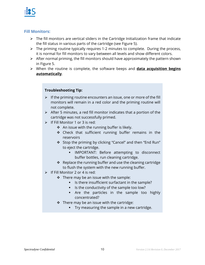

### **Fill Monitors:**

- $\triangleright$  The fill monitors are vertical sliders in the Cartridge Initialization frame that indicate the fill status in various parts of the cartridge (see Figure 5).
- $\triangleright$  The priming routine typically requires 1-2 minutes to complete. During the process, it is normal for fill monitors to vary between all levels and show different colors.
- $\triangleright$  After normal priming, the fill monitors should have approximately the pattern shown in Figure 5.
- When the routine is complete, the software beeps and **data acquisition begins automatically**.

### **Troubleshooting Tip:**

- $\triangleright$  If the priming routine encounters an issue, one or more of the fill monitors will remain in a red color and the priming routine will not complete.
- $\triangleright$  After 5 minutes, a red fill monitor indicates that a portion of the cartridge was not successfully primed.
- $\triangleright$  If Fill Monitor 1 or 3 is red:
	- $\div$  An issue with the running buffer is likely.
	- \* Check that sufficient running buffer remains in the reservoirs
	- \* Stop the priming by clicking "Cancel" and then "End Run" to eject the cartridge.
		- **IMPORTANT: Before attempting to disconnect** buffer bottles, run cleaning cartridge.
	- $\triangle$  Replace the running buffer and use the cleaning cartridge to flush the system with the new running buffer.
- $\triangleright$  If Fill Monitor 2 or 4 is red:
	- $\cdot$  There may be an issue with the sample:
		- If Is there insufficient surfactant in the sample?
		- Is the conductivity of the sample too low?
		- Are the particles in the sample too highly concentrated?
	- $\cdot$  There may be an issue with the cartridge:
		- **Try measuring the sample in a new cartridge.**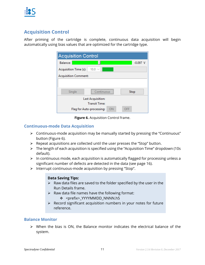

### **Acquisition Control**

After priming of the cartridge is complete, continuous data acquisition will begin automatically using bias values that are optimized for the cartridge type.

| <b>Acquisition Control</b>  |                                 |            |
|-----------------------------|---------------------------------|------------|
| <b>Balance:</b>             |                                 | $-0.097$ V |
| Acquisition Time (s):       | $10.0 \sim$                     |            |
| <b>Acquisition Comment:</b> |                                 |            |
|                             |                                 |            |
| Single                      | <br>Continuous                  | Stop       |
|                             | Last Acquisition:               |            |
|                             | <b>Transit Time:</b>            |            |
|                             | ΟN<br>Flag for Auto-processing: | OFF        |

**Figure 6.** Acquisition Control frame.

### **Continuous-mode Data Acquisition**

- Continuous-mode acquisition may be manually started by pressing the "Continuous" button (Figure 6).
- $\triangleright$  Repeat acquisitions are collected until the user presses the "Stop" button.
- The length of each acquisition is specified using the "Acquisition Time" dropdown (10s default).
- $\triangleright$  In continuous mode, each acquisition is automatically flagged for processing unless a significant number of defects are detected in the data (see page 16).
- > Interrupt continuous-mode acquisition by pressing "Stop".

### **Data Saving Tips:**

- $\triangleright$  Raw data files are saved to the folder specified by the user in the Run Details frame.
- $\triangleright$  Raw data file names have the following format: \* <prefix>\_YYYYMMDD\_NNNN.h5
- $\triangleright$  Record significant acquisition numbers in your notes for future reference.

### **Balance Monitor**

 $\triangleright$  When the bias is ON, the Balance monitor indicates the electrical balance of the system.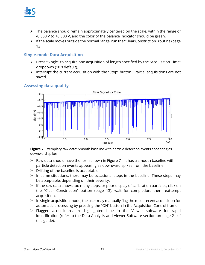

- $\triangleright$  The balance should remain approximately centered on the scale, within the range of -0.800 V to +0.800 V, and the color of the balance indicator should be green.
- $\triangleright$  If the scale moves outside the normal range, run the "Clear Constriction" routine (page 13).

### **Single-mode Data Acquisition**

- Press "Single" to acquire one acquisition of length specified by the "Acquisition Time" dropdown (10 s default).
- $\triangleright$  Interrupt the current acquisition with the "Stop" button. Partial acquisitions are not saved.



### **Assessing data quality**

Figure 7. Exemplary raw data: Smooth baseline with particle detection events appearing as downward spikes.

- $\triangleright$  Raw data should have the form shown in Figure 7—it has a smooth baseline with particle detection events appearing as downward spikes from the baseline.
- $\triangleright$  Drifting of the baseline is acceptable.
- $\triangleright$  In some situations, there may be occasional steps in the baseline. These steps may be acceptable, depending on their severity.
- $\triangleright$  If the raw data shows too many steps, or poor display of calibration particles, click on the "Clear Constriction" button (page 13), wait for completion, then reattempt acquisition.
- $\triangleright$  In single acquisition mode, the user may manually flag the most recent acquisition for automatic processing by pressing the "ON" button in the Acquisition Control frame.
- Flagged acquisitions are highlighted blue in the Viewer software for rapid identification (refer to the Data Analysis and Viewer Software section on page 21 of this guide).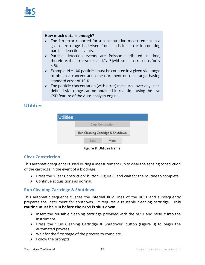

### **How much data is enough?**

- The 1-σ error reported for a concentration measurement in a given size range is derived from statistical error in counting particle detection events.
- $\triangleright$  Particle detection events are Poisson-distributed in time; therefore, the error scales as  $1/N^{1/2}$  (with small corrections for N  $< 5$ ).
- $\triangleright$  Example: N = 100 particles must be counted in a given size range to obtain a concentration measurement on that range having standard error of 10 %.
- $\triangleright$  The particle concentration (with error) measured over any userdefined size range can be obtained in real time using the Live CSD feature of the Auto-analysis engine.

### **Utilities**

| <b>Utilities</b> |      |                                   |  |
|------------------|------|-----------------------------------|--|
|                  |      | <b>Clear Constriction</b>         |  |
|                  |      | Run Cleaning Cartridge & Shutdown |  |
|                  | Less | More                              |  |

**Figure 8.** Utilities frame.

### **Clear Constriction**

This automatic sequence is used during a measurement run to clear the sensing constriction of the cartridge in the event of a blockage.

- $\triangleright$  Press the "Clear Constriction" button (Figure 8) and wait for the routine to complete.
- $\triangleright$  Continue acquisitions as normal.

### **Run Cleaning Cartridge & Shutdown**

This automatic sequence flushes the internal fluid lines of the nCS1 and subsequently prepares the instrument for shutdown. It requires a reusable cleaning cartridge. **This routine must be run before the nCS1 is shut down.** 

- $\triangleright$  Insert the reusable cleaning cartridge provided with the nCS1 and raise it into the instrument.
- $\triangleright$  Press the "Run Cleaning Cartridge & Shutdown" button (Figure 8) to begin the automated process.
- $\triangleright$  Wait for the first stage of the process to complete.
- $\triangleright$  Follow the prompts: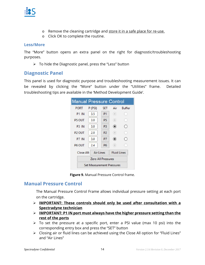

- o Remove the cleaning cartridge and store it in a safe place for re-use.
- o Click OK to complete the routine.

### **Less/More**

The "More" button opens an extra panel on the right for diagnostic/troubleshooting purposes.

 $\triangleright$  To hide the Diagnostic panel, press the "Less" button

### **Diagnostic Panel**

This panel is used for diagnostic purpose and troubleshooting measurement issues. It can be revealed by clicking the "More" button under the "Utilities" frame. Detailed troubleshooting tips are available in the 'Method Development Guide'.

| <b>Manual Pressure Control</b> |                                  |                |                    |               |
|--------------------------------|----------------------------------|----------------|--------------------|---------------|
| <b>PORT</b>                    | P (PSI)                          | <b>SET</b>     | Air                | <b>Buffer</b> |
| P <sub>1</sub> IN              | 3.5                              | P <sub>1</sub> | $\circ$            |               |
| P5 OUT                         | 3.0                              | P <sub>5</sub> | $\circ$            |               |
| P <sub>3</sub> IN              | 3.0                              | P <sub>3</sub> | $\circledbullet$   | U             |
| P <sub>2</sub> OUT             | 2.0                              | P <sub>2</sub> | $\circ$            | a             |
| P7 IN                          | 3.0                              | P7             | $\circledbullet$   | $^{(+)}$      |
| P <sub>6</sub> OUT             | 2.4                              | P <sub>6</sub> | $\circ$            |               |
| Close All:                     | Air Lines                        |                | <b>Fluid Lines</b> |               |
|                                | <b>Zero All Pressures</b>        |                |                    |               |
|                                | <b>Set Measurement Pressures</b> |                |                    |               |

**Figure 9.** Manual Pressure Control frame.

### **Manual Pressure Control**

The Manual Pressure Control Frame allows individual pressure setting at each port on the cartridge.

- **IMPORTANT: These controls should only be used after consultation with a Spectradyne technician**
- **IMPORTANT: P1 IN port must always have the higher pressure setting than the rest of the ports**
- $\triangleright$  To set the pressure at a specific port, enter a PSI value (max 10 psi) into the corresponding entry box and press the "SET" button
- Closing air or fluid lines can be achieved using the Close All option for "Fluid Lines" and "Air Lines"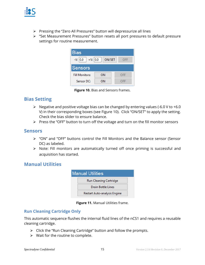

- Pressing the "Zero All Pressures" button will depressurize all lines
- "Set Measurement Pressures" button resets all port pressures to default pressure settings for routine measurement.



**Figure 10.** Bias and Sensors frames.

### **Bias Setting**

- $\triangleright$  Negative and positive voltage bias can be changed by entering values (-6.0 V to +6.0 V) in their corresponding boxes (see Figure 10). Click "ON/SET" to apply the setting. Check the bias slider to ensure balance.
- $\triangleright$  Press the "OFF" button to turn off the voltage and turn on the fill monitor sensors

### **Sensors**

- "ON" and "OFF" buttons control the Fill Monitors and the Balance sensor (Sensor DC) as labeled.
- $\triangleright$  Note: Fill monitors are automatically turned off once priming is successful and acquisition has started.

### **Manual Utilities**



**Figure 11.** Manual Utilities frame.

### **Run Cleaning Cartridge Only**

This automatic sequence flushes the internal fluid lines of the nCS1 and requires a reusable cleaning cartridge.

- $\triangleright$  Click the "Run Cleaning Cartridge" button and follow the prompts.
- $\triangleright$  Wait for the routine to complete.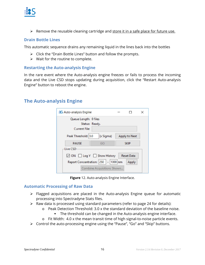

 $\triangleright$  Remove the reusable cleaning cartridge and store it in a safe place for future use.

### **Drain Bottle Lines**

This automatic sequence drains any remaining liquid in the lines back into the bottles

- $\triangleright$  Click the "Drain Bottle Lines" button and follow the prompts.
- $\triangleright$  Wait for the routine to complete.

### **Restarting the Auto-analysis Engine**

In the rare event where the Auto-analysis engine freezes or fails to process the incoming data and the Live CSD stops updating during acquisition, click the "Restart Auto-analysis Engine" button to reboot the engine.

### **The Auto-analysis Engine**

| Queue Length: 0 files<br>Status: Ready.<br><b>Current File:</b> |           |               |  |
|-----------------------------------------------------------------|-----------|---------------|--|
| Peak Threshold: 3.0                                             | (x Sigma) | Apply to Next |  |
| <b>PAUSE</b>                                                    | GO        | <b>SKIP</b>   |  |
| Live CSD<br>ON Log Y Show History                               |           | Reset Data    |  |
| Report Concentration: 250   - 1000 nm                           |           | Apply         |  |

**Figure** 12. Auto-analysis Engine Interface.

### **Automatic Processing of Raw Data**

- $\triangleright$  Flagged acquisitions are placed in the Auto-analysis Engine queue for automatic processing into Spectradyne Stats files.
- $\triangleright$  Raw data is processed using standard parameters (refer to page 24 for details):
	- $\circ$  Peak Detection Threshold: 3.0 x the standard deviation of the baseline noise.
		- The threshold can be changed in the Auto-analysis engine interface.
	- o Fit Width: 4.0 x the mean transit time of high signal-to-noise particle events.
- Control the auto-processing engine using the "Pause", "Go" and "Skip" buttons.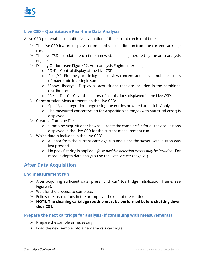

### **Live CSD – Quantitative Real-time Data Analysis**

A live CSD plot enables quantitative evaluation of the current run in real-time.

- $\triangleright$  The Live CSD feature displays a combined size distribution from the current cartridge run.
- $\triangleright$  The Live CSD is updated each time a new stats file is generated by the auto-analysis engine.
- Display Options (see Figure 12. Auto-analysis Engine Interface.):
	- o "ON" Control display of the Live CSD.
	- o "Log Y" Plot the y-axis in log scale to view concentrations over multiple orders of magnitude in a single sample.
	- o "Show History" Display all acquisitions that are included in the combined distribution.
	- o "Reset Data" Clear the history of acquisitions displayed in the Live CSD.
- Concentration Measurements on the Live CSD:
	- o Specify an integration range using the entries provided and click "Apply".
	- o The measured concentration for a specific size range (with statistical error) is displayed.
- $\triangleright$  Create a Combine File:
	- o "Combine Acquisitions Shown" Create the combine file for all the acquisitions displayed in the Live CSD for the current measurement run
- $\triangleright$  Which data is included in the Live CSD?
	- o All data from the current cartridge run and since the 'Reset Data' button was last pressed.
	- o No peak filtering is applied—*false-positive detection events may be included*. For more in-depth data analysis use the Data Viewer (page 21).

### **After Data Acquisition**

### **End measurement run**

- After acquiring sufficient data, press "End Run" (Cartridge Initialization frame, see Figure 5).
- $\triangleright$  Wait for the process to complete.
- $\triangleright$  Follow the instructions in the prompts at the end of the routine.
- **NOTE: The cleaning cartridge routine must be performed before shutting down the nCS1.**

### **Prepare the next cartridge for analysis (if continuing with measurements)**

- $\triangleright$  Prepare the sample as necessary.
- $\triangleright$  Load the new sample into a new analysis cartridge.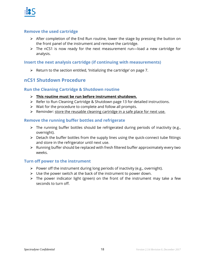

### **Remove the used cartridge**

- $\triangleright$  After completion of the End Run routine, lower the stage by pressing the button on the front panel of the instrument and remove the cartridge.
- $\triangleright$  The nCS1 is now ready for the next measurement run—load a new cartridge for analysis.

### **Insert the next analysis cartridge (if continuing with measurements)**

 $\triangleright$  Return to the section entitled, 'Initializing the cartridge' on page 7.

### **nCS1 Shutdown Procedure**

### **Run the Cleaning Cartridge & Shutdown routine**

- **This routine must be run before instrument shutdown.**
- Refer to Run Cleaning Cartridge & Shutdown page 13 for detailed instructions.
- $\triangleright$  Wait for the procedure to complete and follow all prompts.
- $\triangleright$  Reminder: store the reusable cleaning cartridge in a safe place for next use.

### **Remove the running buffer bottles and refrigerate**

- $\triangleright$  The running buffer bottles should be refrigerated during periods of inactivity (e.g., overnight).
- $\triangleright$  Detach the buffer bottles from the supply lines using the quick-connect tube fittings and store in the refrigerator until next use.
- $\triangleright$  Running buffer should be replaced with fresh filtered buffer approximately every two weeks.

### **Turn off power to the instrument**

- $\triangleright$  Power off the instrument during long periods of inactivity (e.g., overnight).
- $\triangleright$  Use the power switch at the back of the instrument to power down.
- $\triangleright$  The power indicator light (green) on the front of the instrument may take a few seconds to turn off.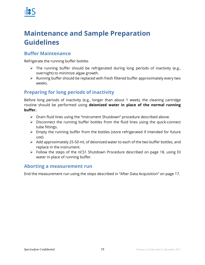

### **Maintenance and Sample Preparation Guidelines**

### **Buffer Maintenance**

Refrigerate the running buffer bottles

- $\triangleright$  The running buffer should be refrigerated during long periods of inactivity (e.g., overnight) to minimize algae growth.
- $\triangleright$  Running buffer should be replaced with fresh filtered buffer approximately every two weeks.

### **Preparing for long periods of inactivity**

Before long periods of inactivity (e.g., longer than about 1 week), the cleaning cartridge routine should be performed using **deionized water in place of the normal running buffer.** 

- $\triangleright$  Drain fluid lines using the "Instrument Shutdown" procedure described above.
- Disconnect the running buffer bottles from the fluid lines using the quick-connect tube fittings.
- $\triangleright$  Empty the running buffer from the bottles (store refrigerated if intended for future use).
- $\triangleright$  Add approximately 25-50 mL of deionized water to each of the two buffer bottles, and replace in the instrument.
- Follow the steps of the nCS1 Shutdown Procedure described on page 18, using DI water in place of running buffer.

### **Aborting a measurement run**

End the measurement run using the steps described in "After Data Acquisition" on page 17.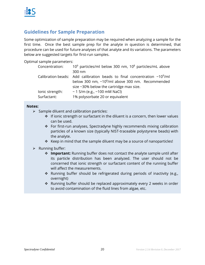### **Guidelines for Sample Preparation**

Some optimization of sample preparation may be required when analyzing a sample for the first time. Once the best sample prep for the analyte in question is determined, that procedure can be used for future analyses of that analyte and its variations. The parameters below are suggested targets for first-run samples.

Optimal sample parameters:

| Concentration:  | $109$ particles/ml below 300 nm, $108$ particles/mL above                       |
|-----------------|---------------------------------------------------------------------------------|
|                 | 300 nm                                                                          |
|                 | Calibration beads: Add calibration beads to final concentration $\sim 10^9$ /ml |
|                 | below 300 nm, ~10 <sup>8</sup> /ml above 300 nm. Recommended                    |
|                 | size $\sim$ 30% below the cartridge max size.                                   |
| lonic strength: | ~ 1 S/m (e.g., ~100 mM NaCl)                                                    |
| Surfactant:     | 1% polysorbate 20 or equivalent                                                 |

### **Notes:**

- $\triangleright$  Sample diluent and calibration particles:
	- $\div$  If ionic strength or surfactant in the diluent is a concern, then lower values can be used.
	- For first-run analyses, Spectradyne highly recommends mixing calibration particles of a known size (typically NIST-traceable polystyrene beads) with the analyte.
	- $\cdot$  Keep in mind that the sample diluent may be a source of nanoparticles!
- $\triangleright$  Running buffer:
	- **Important:** Running buffer does not contact the analyte sample until after its particle distribution has been analyzed. The user should not be concerned that ionic strength or surfactant content of the running buffer will affect the measurements.
	- \* Running buffer should be refrigerated during periods of inactivity (e.g., overnight)
	- Running buffer should be replaced approximately every 2 weeks in order to avoid contamination of the fluid lines from algae, etc.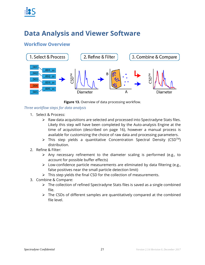

### **Data Analysis and Viewer Software**

### **Workflow Overview**



**Figure 13.** Overview of data processing workflow.

### *Three workflow steps for data analysis*

- 1. Select & Process:
	- $\triangleright$  Raw data acquisitions are selected and processed into Spectradyne Stats files. Likely this step will have been completed by the Auto-analysis Engine at the time of acquisition (described on page 16), however a manual process is available for customizing the choice of raw data and processing parameters.
	- $\triangleright$  This step yields a quantitative Concentration Spectral Density (CSD<sup>TM</sup>) distribution.
- 2. Refine & Filter:
	- $\triangleright$  Any necessary refinement to the diameter scaling is performed (e.g., to account for possible buffer effects)
	- $\triangleright$  Low-confidence particle measurements are eliminated by data filtering (e.g., false positives near the small particle detection limit)
	- $\triangleright$  This step yields the final CSD for the collection of measurements.
- 3. Combine & Compare:
	- $\triangleright$  The collection of refined Spectradyne Stats files is saved as a single combined file.
	- $\triangleright$  The CSDs of different samples are quantitatively compared at the combined file level.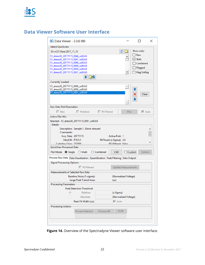### **Data Viewer Software User Interface**

| <b>!!! S</b> Data Viewer - 2.3.6.180                                          |                                                       |                      |                                 |                            |                |                        | X |
|-------------------------------------------------------------------------------|-------------------------------------------------------|----------------------|---------------------------------|----------------------------|----------------|------------------------|---|
| Select/Quickview-                                                             |                                                       |                      |                                 |                            |                |                        |   |
| D:\nCS1 Data\2017_11_15                                                       |                                                       |                      |                                 | $\boldsymbol{z}$           | Show only:     |                        |   |
| S1_stress30_20171115_0046_ss00.h5                                             |                                                       |                      |                                 |                            | $\Box$ Raw     |                        |   |
| S1_stress30_20171115_0047_ss00.h5                                             |                                                       |                      |                                 |                            | <b>√ Stats</b> |                        |   |
| S1_stress30_20171115_0048_ss00.h5                                             |                                                       |                      |                                 |                            |                | <b>Combined</b>        |   |
| S1_stress30_20171115_0049_ss00.h5                                             |                                                       |                      |                                 |                            |                | Flagged                |   |
| S1_stress30_20171115_0050_ss00.h5<br>S1_stress30_20171115_0051_ss00.h5        |                                                       |                      |                                 |                            |                | Flag/Unflag            |   |
|                                                                               | $\Box$                                                |                      |                                 |                            |                |                        |   |
| <b>Currently Loaded-</b>                                                      |                                                       |                      |                                 |                            |                |                        |   |
| S1_stress30_20171115_0049_ss00.h5                                             |                                                       |                      |                                 |                            |                |                        |   |
| S1_stress30_20171115_0050_ss00.h5                                             |                                                       |                      |                                 |                            |                |                        |   |
| S1_stress30_20171115_0051_ss00.h5                                             |                                                       |                      |                                 |                            |                | Clear                  |   |
|                                                                               |                                                       |                      |                                 |                            |                |                        |   |
|                                                                               |                                                       |                      |                                 |                            |                |                        |   |
| Raw Data Plot Parameters-                                                     |                                                       |                      |                                 |                            |                |                        |   |
|                                                                               |                                                       |                      |                                 |                            |                |                        |   |
| <b>F</b> Raw                                                                  | <b>F</b> Polished                                     | <b>□ PS Filtered</b> |                                 | Plot                       |                | $\overline{\vee}$ Auto |   |
| Active File Info:-                                                            |                                                       |                      |                                 |                            |                |                        |   |
|                                                                               |                                                       |                      |                                 |                            |                |                        |   |
| Selected: S1_stress30_20171115_0051_ss00.h5                                   |                                                       |                      |                                 |                            |                |                        |   |
| -Details-                                                                     |                                                       |                      |                                 |                            |                |                        |   |
|                                                                               | Description: Sample 1, 30min stressed                 |                      |                                 |                            |                |                        |   |
| Comments:                                                                     |                                                       |                      |                                 |                            |                |                        |   |
| Acq. Date: 20171115                                                           |                                                       |                      | Active Port: 1                  |                            |                |                        |   |
| Mold ID: P15.5.1                                                              |                                                       |                      | PkThresh (x Sigma): 3.0         |                            |                |                        |   |
| Cartridge Class: TS2000                                                       |                                                       |                      | <b>DS-Filtered: Falce</b>       |                            |                |                        |   |
| QuickView Processed Data-                                                     |                                                       |                      |                                 |                            |                |                        |   |
| Plot Mode: Single O Multi O Combined                                          |                                                       |                      | CSD                             | $\Box$ Custom              |                | Options                |   |
| Process Raw Data Data Visualization Quantification Peak Filtering Data Output |                                                       |                      |                                 |                            |                |                        |   |
| -Signal Processing Options                                                    |                                                       |                      |                                 |                            |                |                        |   |
|                                                                               | <b>F</b> PS Filtered                                  |                      |                                 | <b>Update Measurements</b> |                |                        |   |
| Measurements of Selected Raw Data                                             |                                                       |                      |                                 |                            |                |                        |   |
|                                                                               | Baseline Noise (1-sigma):<br>Large Peak Transit time: |                      | (us)                            | (Normalized Voltage)       |                |                        |   |
| <b>Processing Parameters</b>                                                  |                                                       |                      |                                 |                            |                |                        |   |
|                                                                               | <b>Peak Detection Threshold:</b>                      |                      |                                 |                            |                |                        |   |
| (⑤)                                                                           | Relative:                                             |                      | (x Sigma)                       |                            |                |                        |   |
| ∩                                                                             | Absolute:                                             |                      |                                 | (Normalized Voltage)       |                |                        |   |
|                                                                               |                                                       |                      |                                 |                            |                |                        |   |
|                                                                               | Peak Fit Width (us):                                  |                      | $\overline{\triangledown}$ Auto |                            |                |                        |   |
| <b>Processing Actions-</b>                                                    |                                                       |                      |                                 |                            |                |                        |   |
|                                                                               | Process Selected                                      | Process All          | <b>STOP</b>                     |                            |                |                        |   |
|                                                                               |                                                       |                      |                                 |                            |                |                        |   |

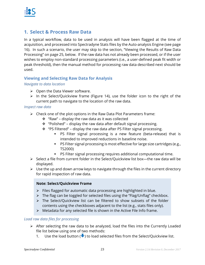

### **1. Select & Process Raw Data**

In a typical workflow, data to be used in analysis will have been flagged at the time of acquisition, and processed into Spectradyne Stats files by the Auto-analysis Engine (see page 16). In such a scenario, the user may skip to the section, "Viewing the Results of Raw Data Processing" on page 25, below. If the raw data has not already been processed, or if the user wishes to employ non-standard processing parameters (i.e., a user-defined peak fit width or peak threshold), then the manual method for processing raw data described next should be used.

### **Viewing and Selecting Raw Data for Analysis**

### *Navigate to data location*

- $\triangleright$  Open the Data Viewer software.
- $\triangleright$  In the Select/Quickview frame (Figure 14), use the folder icon to the right of the current path to navigate to the location of the raw data.

### *Inspect raw data*

- $\triangleright$  Check one of the plot options in the Raw Data Plot Parameters frame:
	- $\cdot \cdot$  "Raw" display the raw data as it was collected
	- $\div$  "Polished" display the raw data after default signal processing.
	- $\cdot \cdot$  "PS Filtered" display the raw data after PS Filter signal processing.
		- PS Filter signal processing is a new feature (beta-release) that is intended to improved reductions in baseline noise.
		- PS Filter signal processing is most effective for large size cartridges (e.g., TS2000)
		- **PS Filter signal processing requires additional computational time.**
- $\triangleright$  Select a file from current folder in the Select/Quickview list box—the raw data will be displayed.
- $\triangleright$  Use the up and down arrow keys to navigate through the files in the current directory for rapid inspection of raw data.

### **Note: Select/Quickview Frame**

- $\triangleright$  Files flagged for automatic data processing are highlighted in blue.
- $\triangleright$  The flag can be toggled for selected files using the "Flag/Unflag" checkbox.
- $\triangleright$  The Select/Quickview list can be filtered to show subsets of the folder contents using the checkboxes adjacent to the list (e.g., stats files only).
- $\triangleright$  Metadata for any selected file is shown in the Active File Info frame.

### *Load raw data files for processing*

- $\triangleright$  After selecting the raw data to be analyzed, load the files into the Currently Loaded file list below using one of two methods:
	- 1. Use the load button  $(\blacktriangleright)$  to load selected files from the Select/Quickview list.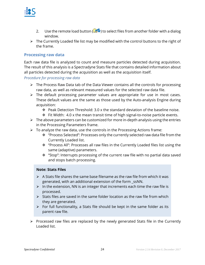

- 2. Use the remote load button  $($   $\bullet)$  to select files from another folder with a dialog window.
- $\triangleright$  The Currently Loaded file list may be modified with the control buttons to the right of the frame.

### **Processing raw data**

Each raw data file is analyzed to count and measure particles detected during acquisition. The result of this analysis is a Spectradyne Stats file that contains detailed information about all particles detected during the acquisition as well as the acquisition itself.

### *Procedure for processing raw data*

- $\triangleright$  The Process Raw Data tab of the Data Viewer contains all the controls for processing raw data, as well as relevant measured values for the selected raw data file.
- $\triangleright$  The default processing parameter values are appropriate for use in most cases. These default values are the same as those used by the Auto-analysis Engine during acquisition:
	- $\div$  Peak Detection Threshold: 3.0 x the standard deviation of the baseline noise.
	- $\div$  Fit Width: 4.0 x the mean transit time of high signal-to-noise particle events.
- $\triangleright$  The above parameters can be customized for more in-depth analysis using the entries in the Processing Parameters frame.
- $\triangleright$  To analyze the raw data, use the controls in the Processing Actions frame:
	- \* "Process Selected": Processes only the currently selected raw data file from the Currently Loaded list.
	- \* "Process All": Processes all raw files in the Currently Loaded files list using the same (adaptive) parameters.
	- "Stop": Interrupts processing of the current raw file with no partial data saved and stops batch processing.

### **Note: Stats Files**

- $\triangleright$  A Stats file shares the same base filename as the raw file from which it was generated, with an additional extension of the form ssNN.
- $\triangleright$  In the extension, NN is an integer that increments each time the raw file is processed.
- $\triangleright$  Stats files are saved in the same folder location as the raw file from which they are generated.
- $\triangleright$  For full functionality, a Stats file should be kept in the same folder as its parent raw file.
- $\triangleright$  Processed raw files are replaced by the newly generated Stats file in the Currently Loaded list.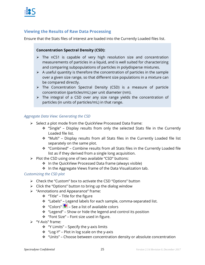

### **Viewing the Results of Raw Data Processing**

Ensure that the Stats files of interest are loaded into the Currently Loaded files list.

### **Concentration Spectral Density (CSD):**

- $\triangleright$  The nCS1 is capable of very high resolution size and concentration measurements of particles in a liquid, and is well suited for characterizing and comparing subpopulations of particles in polydisperse mixtures.
- $\triangleright$  A useful quantity is therefore the concentration of particles in the sample over a given size range, so that different size populations in a mixture can be compared directly.
- $\triangleright$  The Concentration Spectral Density (CSD) is a measure of particle concentration (particles/mL) per unit diameter (nm).
- $\triangleright$  The integral of a CSD over any size range yields the concentration of particles (in units of particles/mL) in that range.

### *Aggregate Data View: Generating the CSD*

- $\triangleright$  Select a plot mode from the QuickView Processed Data frame:
	- "Single" Display results from only the selected Stats file in the Currently Loaded file list.
	- "Multi" Display results from all Stats files in the Currently Loaded file list separately on the same plot.
	- "Combined" Combine results from all Stats files in the Currently Loaded file list as if they derived from a single long acquisition.
- $\triangleright$  Plot the CSD using one of two available "CSD" buttons:
	- ❖ In the QuickView Processed Data frame (always visible)
	- $\cdot$  In the Aggregate Views frame of the Data Visualization tab.

### *Customizing the CSD plot*

- $\triangleright$  Check the "Custom" box to activate the CSD "Options" button
- $\triangleright$  Click the "Options" button to bring up the dialog window
- "Annotations and Appearance" frame:
	- "Title" Title for the figure
	- "Labels" Legend labels for each sample, comma-separated list.
	- $\cdot$  "Colors"  $\cdot$  See a list of available colors
	- $\cdot \cdot$  "Legend" Show or hide the legend and control its position
	- "Font Size" Font size used in figure.
- $\triangleright$  "Y-Axis" frame:
	- $\div$  "Y Limits" Specify the y-axis limits
	- $\cdot$  "Log-Y" Plot in log scale on the y-axis
	- "Units" Choose between concentration density or absolute concentration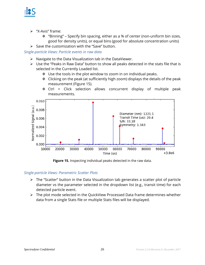

- $\triangleright$  "X-Axis" frame:
	- "Binning" Specify bin spacing, either as a % of center (non-uniform bin sizes, good for density units), or equal bins (good for absolute concentration units)
- $\triangleright$  Save the customization with the "Save" button.

*Single-particle Views: Particle events in raw data* 

- $\triangleright$  Navigate to the Data Visualization tab in the DataViewer.
- $\triangleright$  Use the "Peaks in Raw Data" button to show all peaks detected in the stats file that is selected in the Currently Loaded list.
	- $\div$  Use the tools in the plot window to zoom in on individual peaks.
	- $\div$  Clicking on the peak (at sufficiently high zoom) displays the details of the peak measurement (Figure 15).
	- \* Ctrl + Click selection allows concurrent display of multiple peak measurements.



**Figure 15.** Inspecting individual peaks detected in the raw data.

### *Single-particle Views: Parametric Scatter Plots*

- $\triangleright$  The "Scatter" button in the Data Visualization tab generates a scatter plot of particle diameter vs the parameter selected in the dropdown list (e.g., transit time) for each detected particle event.
- $\triangleright$  The plot mode selected in the QuickView Processed Data frame determines whether data from a single Stats file or multiple Stats files will be displayed.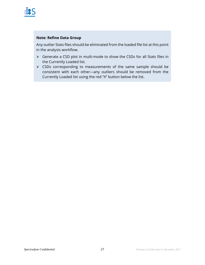

### **Note: Refine Data Group**

Any outlier Stats files should be eliminated from the loaded file list at this point in the analysis workflow.

- Generate a CSD plot in multi-mode to show the CSDs for all Stats files in the Currently Loaded list.
- CSDs corresponding to measurements of the same sample should be consistent with each other—any outliers should be removed from the Currently Loaded list using the red "X" button below the list.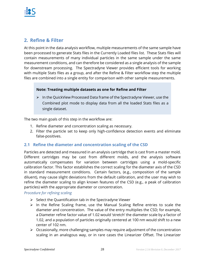### **2. Refine & Filter**

At this point in the data analysis workflow, multiple measurements of the same sample have been processed to generate Stats files in the Currently Loaded files list. These Stats files will contain measurements of many individual particles in the same sample under the same measurement conditions, and can therefore be considered as a single analysis of the sample for downstream processing. The Spectradyne Viewer provides efficient tools for working with multiple Stats files as a group, and after the Refine & Filter workflow step the multiple files are combined into a single entity for comparison with other sample measurements.

### **Note: Treating multiple datasets as one for Refine and Filter**

 $\triangleright$  In the QuickView Processed Data frame of the Spectradyne Viewer, use the Combined plot mode to display data from all the loaded Stats files as a single dataset.

The two main goals of this step in the workflow are:

- 1. Refine diameter and concentration scaling as necessary.
- 2. Filter the particle set to keep only high-confidence detection events and eliminate false-positives.

### **2.1 Refine the diameter and concentration scaling of the CSD**

Particles are detected and measured in an analysis cartridge that is cast from a master mold. Different cartridges may be cast from different molds, and the analysis software automatically compensates for variation between cartridges using a mold-specific calibration factor. This factor establishes the correct scaling for the diameter axis of the CSD in standard measurement conditions. Certain factors, (e.g., composition of the sample diluent), may cause slight deviations from the default calibration, and the user may wish to refine the diameter scaling to align known features of the CSD (e.g., a peak of calibration particles) with the appropriate diameter or concentration.

### *Procedure for refining scaling*

- $\triangleright$  Select the Quantification tab in the Spectradyne Viewer
- $\triangleright$  In the Refine Scaling frame, use the Manual Scaling Refine entries to scale the diameter and concentration. The value of the entry multiplies the CSD; for example, a Diameter refine factor value of 1.02 would 'stretch' the diameter scale by a factor of 1.02, and a population of particles originally centered at 100 nm would shift to a new center of 102 nm.
- $\triangleright$  Occasionally, more challenging samples may require adjustment of the concentration scaling in an analogous way, or in rare cases the Linearizer Offset. The Linearizer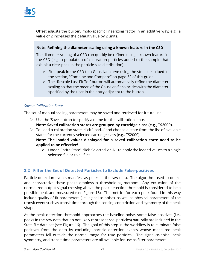Offset adjusts the built-in, mold-specific linearizing factor in an additive way; e.g., a value of 2 increases the default value by 2 units.

### **Note: Refining the diameter scaling using a known feature in the CSD**

The diameter scaling of a CSD can quickly be refined using a known feature in the CSD (e.g., a population of calibration particles added to the sample that exhibit a clear peak in the particle size distribution):

- $\triangleright$  Fit a peak in the CSD to a Gaussian curve using the steps described in the section, "Combine and Compare" on page 32 of this guide.
- $\triangleright$  The "Rescale Last Fit To:" button will automatically refine the diameter scaling so that the mean of the Gaussian fit coincides with the diameter specified by the user in the entry adjacent to the button.

### *Save a Calibration State*

The set of manual scaling parameters may be saved and retrieved for future use.

- $\triangleright$  Use the 'Save' button to specify a name for the calibration state. **Note: Saved calibration states are grouped by cartridge class (e.g., TS2000).**
- $\triangleright$  To Load a calibration state, click 'Load...' and choose a state from the list of available states for the currently selected cartridge class (e.g., TS2000) **Note: The loaded values displayed for a saved calibration state need to be applied to be effective!** 
	- o Under 'Entire State', click 'Selected' or 'All' to apply the loaded values to a single selected file or to all files.

### **2.2 Filter the Set of Detected Particles to Exclude False-positives**

Particle detection events manifest as peaks in the raw data. The algorithm used to detect and characterize these peaks employs a thresholding method: Any excursion of the normalized output signal crossing above the peak detection threshold is considered to be a possible peak and measured (see Figure 16). The metrics for each peak found in this way include quality of fit parameters (i.e., signal-to-noise), as well as physical parameters of the transit event such as transit time through the sensing constriction and symmetry of the peak shape.

As the peak detection threshold approaches the baseline noise, some false positives (i.e., peaks in the raw data that do not likely represent real particles) naturally are included in the Stats file data set (see Figure 16). The goal of this step in the workflow is to eliminate false positives from the data by excluding particle detection events whose measured peak parameters fall outside the normal range for true particles. The signal-to-noise, peak symmetry, and transit time parameters are all available for use as filter parameters.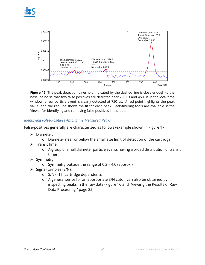



**Figure 16.** The peak detection threshold indicated by the dashed line is close enough to the baseline noise that two false positives are detected near 200 us and 450 us in the local time window; a real particle event is clearly detected at 750 us. A red point highlights the peak value, and the red line shows the fit for each peak. Peak-filtering tools are available in the Viewer for identifying and removing false-positives in the data.

### *Identifying False-Positives Among the Measured Peaks*

False-positives generally are characterized as follows (example shown in Figure 17):

- > Diameter:
	- o Diameter near or below the small size limit of detection of the cartridge.
- $\triangleright$  Transit time:
	- o A group of small diameter particle events having a broad distribution of transit times.
- $\triangleright$  Symmetry:
	- o Symmetry outside the range of 0.2 4.0 (approx.)
- $\triangleright$  Signal-to-noise (S/N):
	- o S/N < 15 (cartridge dependent).
	- o A general sense for an appropriate S/N cutoff can also be obtained by inspecting peaks in the raw data (Figure 16 and "Viewing the Results of Raw Data Processing," page 25).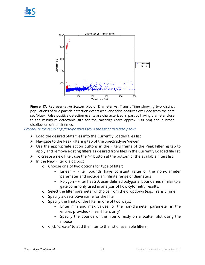

**Figure 17.** Representative Scatter plot of Diameter vs. Transit Time showing two distinct populations of true particle detection events (red) and false-positives excluded from the data set (blue).False positive detection events are characterized in part by having diameter close to the minimum detectable size for the cartridge (here approx. 130 nm) and a broad distribution of transit times.

*Procedure for removing false-positives from the set of detected peaks* 

- $\triangleright$  Load the desired Stats files into the Currently Loaded files list
- $\triangleright$  Navigate to the Peak Filtering tab of the Spectradyne Viewer
- $\triangleright$  Use the appropriate action buttons in the Filters frame of the Peak Filtering tab to apply and remove existing filters as desired from files in the Currently Loaded file list.
- $\triangleright$  To create a new filter, use the "+" button at the bottom of the available filters list
- $\triangleright$  In the New Filter dialog box:
	- o Choose one of two options for type of filter:
		- Linear Filter bounds have constant value of the non-diameter parameter and include an infinite range of diameters
		- Polygon Filter has 2D, user-defined polygonal boundaries similar to a gate commonly used in analysis of flow cytometry results.
	- o Select the filter parameter of choice from the dropdown (e.g., Transit Time)
	- o Specify a descriptive name for the filter
	- o Specify the limits of the filter in one of two ways:
		- Enter min and max values for the non-diameter parameter in the entries provided (linear filters only)
		- Specify the bounds of the filter directly on a scatter plot using the mouse
	- o Click "Create" to add the filter to the list of available filters.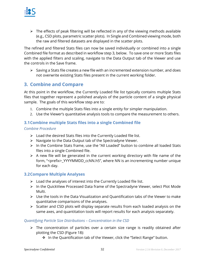

 $\triangleright$  The effects of peak filtering will be reflected in any of the viewing methods available (e.g., CSD plots, parametric scatter plots). In Single and Combined viewing mode, both the raw and filtered datasets are displayed in the scatter plots.

The refined and filtered Stats files can now be saved individually or combined into a single Combined file format as described in workflow step 3, below. To save one or more Stats files with the applied filters and scaling, navigate to the Data Output tab of the Viewer and use the controls in the Save frame.

 $\triangleright$  Saving a Stats file creates a new file with an incremented extension number, and does not overwrite existing Stats files present in the current working folder.

### **3. Combine and Compare**

At this point in the workflow, the Currently Loaded file list typically contains multiple Stats files that together represent a polished analysis of the particle content of a single physical sample. The goals of this workflow step are to:

- 1. Combine the multiple Stats files into a single entity for simpler manipulation.
- 2. Use the Viewer's quantitative analysis tools to compare the measurement to others.

### **3.1Combine multiple Stats files into a single Combined file**

### *Combine Procedure*

- $\triangleright$  Load the desired Stats files into the Currently Loaded file list.
- $\triangleright$  Navigate to the Data Output tab of the Spectradyne Viewer.
- $\triangleright$  In the Combine Stats frame, use the "All Loaded" button to combine all loaded Stats files into a single Combined file.
- $\triangleright$  A new file will be generated in the current working directory with file name of the form, "<prefix>\_YYYYMMDD\_ccNN.h5", where NN is an incrementing number unique for each day.

### **3.2Compare Multiple Analyses**

- $\triangleright$  Load the analyses of interest into the Currently Loaded file list.
- $\triangleright$  In the QuickView Processed Data frame of the Spectradyne Viewer, select Plot Mode Multi.
- $\triangleright$  Use the tools in the Data Visualization and Quantification tabs of the Viewer to make quantitative comparisons of the analyses.
- $\triangleright$  Scatter and CSD plots will display separate results from each loaded analysis on the same axes, and quantitation tools will report results for each analysis separately.

### *Quantifying Particle Size Distributions – Concentration in the CSD*

- $\triangleright$  The concentration of particles over a certain size range is readily obtained after plotting the CSD (Figure 18):
	- ❖ In the Quantification tab of the Viewer, click the "Select Range" button.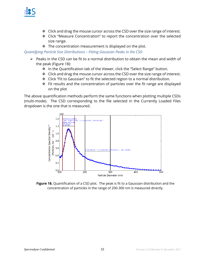

- Click and drag the mouse cursor across the CSD over the size range of interest.
- Click "Measure Concentration" to report the concentration over the selected size range.
- $\cdot \cdot$  The concentration measurement is displayed on the plot.

*Quantifying Particle Size Distributions – Fitting Gaussian Peaks in the CSD* 

- $\triangleright$  Peaks in the CSD can be fit to a normal distribution to obtain the mean and width of the peak (Figure 18):
	- ❖ In the Quantification tab of the Viewer, click the "Select Range" button.
	- $\div$  Click and drag the mouse cursor across the CSD over the size range of interest.
	- Click "Fit to Gaussian" to fit the selected region to a normal distribution.
	- Fit results and the concentration of particles over the fit range are displayed on the plot

The above quantification methods perform the same functions when plotting multiple CSDs (multi-mode). The CSD corresponding to the file selected in the Currently Loaded Files dropdown is the one that is measured.



**Figure 18.** Quantification of a CSD plot. The peak is fit to a Gaussian distribution and the concentration of particles in the range of 200-300 nm is measured directly.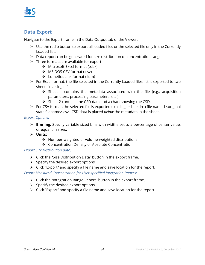

### **Data Export**

Navigate to the Export frame in the Data Output tab of the Viewer.

- $\triangleright$  Use the radio button to export all loaded files or the selected file only in the Currently Loaded list.
- $\triangleright$  Data report can be generated for size distribution or concentration range
- $\triangleright$  Three formats are available for export:
	- Microsoft Excel format (.xlsx)
	- MS DOS CSV format (.csv)
	- Lumetics Link format (.lum)
- $\triangleright$  For Excel format, the file selected in the Currently Loaded files list is exported to two sheets in a single file:
	- $\div$  Sheet 1 contains the metadata associated with the file (e.g., acquisition parameters, processing parameters, etc.).
	- $\div$  Sheet 2 contains the CSD data and a chart showing the CSD.
- $\triangleright$  For CSV format, the selected file is exported to a single sheet in a file named <original stats filename>.csv. CSD data is placed *below* the metadata in the sheet.

### *Export Options:*

- **Binning:** Specify variable sized bins with widths set to a percentage of center value, or equal bin sizes.
- **Units:** 
	- ◆ Number-weighted or volume-weighted distributions
	- ❖ Concentration Density or Absolute Concentration

### *Export Size Distribution data:*

- $\triangleright$  Click the "Size Distribution Data" button in the export frame.
- $\triangleright$  Specify the desired export options
- $\triangleright$  Click "Export" and specify a file name and save location for the report.

*Export Measured Concentration for User-specified Integration Ranges:* 

- $\triangleright$  Click the "Integration Range Report" button in the export frame.
- $\triangleright$  Specify the desired export options
- $\triangleright$  Click "Export" and specify a file name and save location for the report.